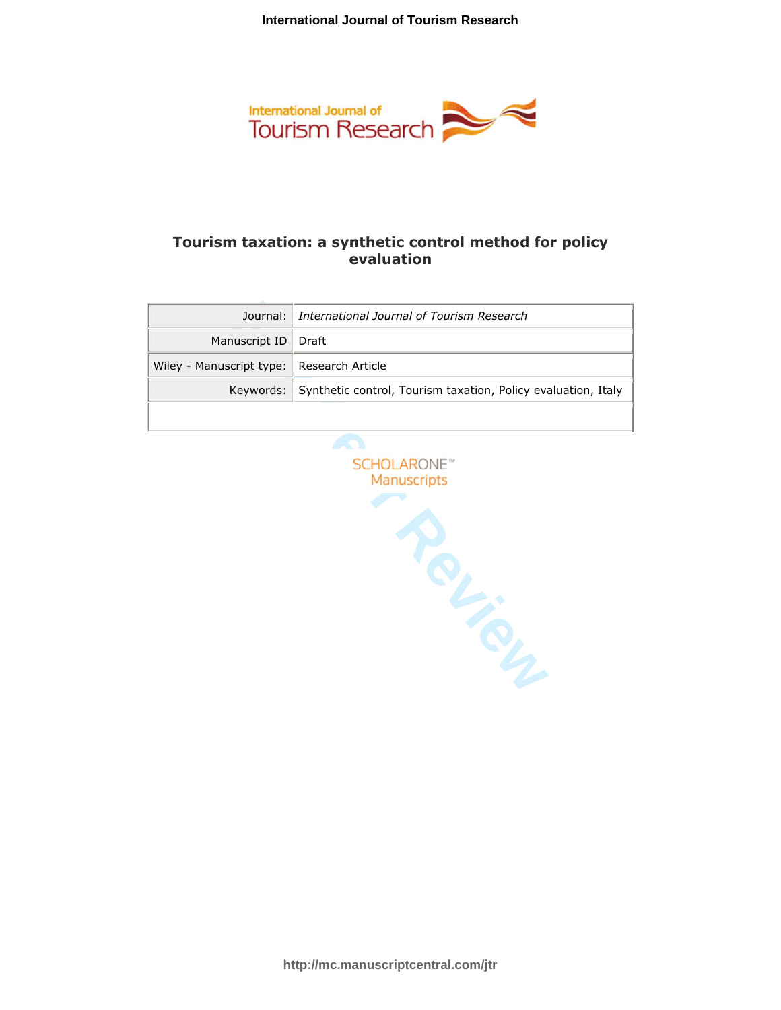

# **Tourism taxation: a synthetic control method for policy evaluation**

|                                             | Journal:   International Journal of Tourism Research                    |  |
|---------------------------------------------|-------------------------------------------------------------------------|--|
| Manuscript ID   Draft                       |                                                                         |  |
| Wiley - Manuscript type:   Research Article |                                                                         |  |
|                                             | Keywords: Synthetic control, Tourism taxation, Policy evaluation, Italy |  |
|                                             |                                                                         |  |

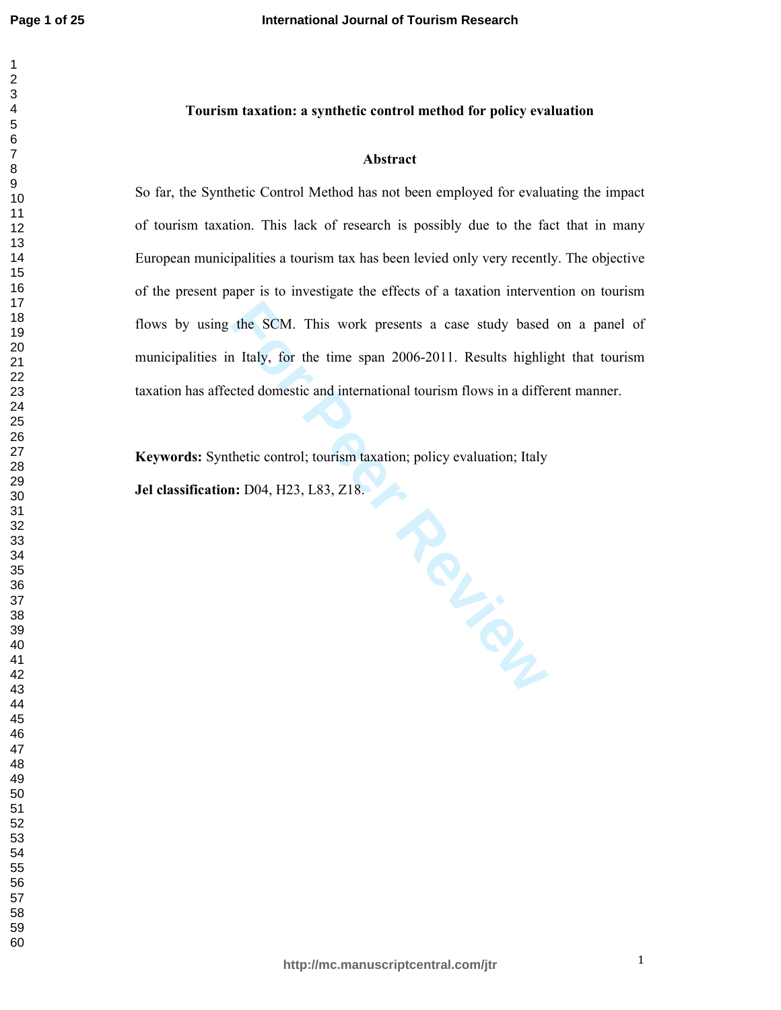$\mathbf{1}$  $\overline{2}$  $\overline{\mathbf{4}}$  $\overline{7}$ 

# **Tourism taxation: a synthetic control method for policy evaluation**

#### **Abstract**

So far, the Synthetic Control Method has not been employed for evaluating the impact of tourism taxation. This lack of research is possibly due to the fact that in many European municipalities a tourism tax has been levied only very recently. The objective of the present paper is to investigate the effects of a taxation intervention on tourism flows by using the SCM. This work presents a case study based on a panel of municipalities in Italy, for the time span 2006-2011. Results highlight that tourism taxation has affected domestic and international tourism flows in a different manner.

**Keywords:** Synthetic control; tourism taxation; policy evaluation; Italy

**Jel classification:** D04, H23, L83, Z18.

**http://mc.manuscriptcentral.com/jtr**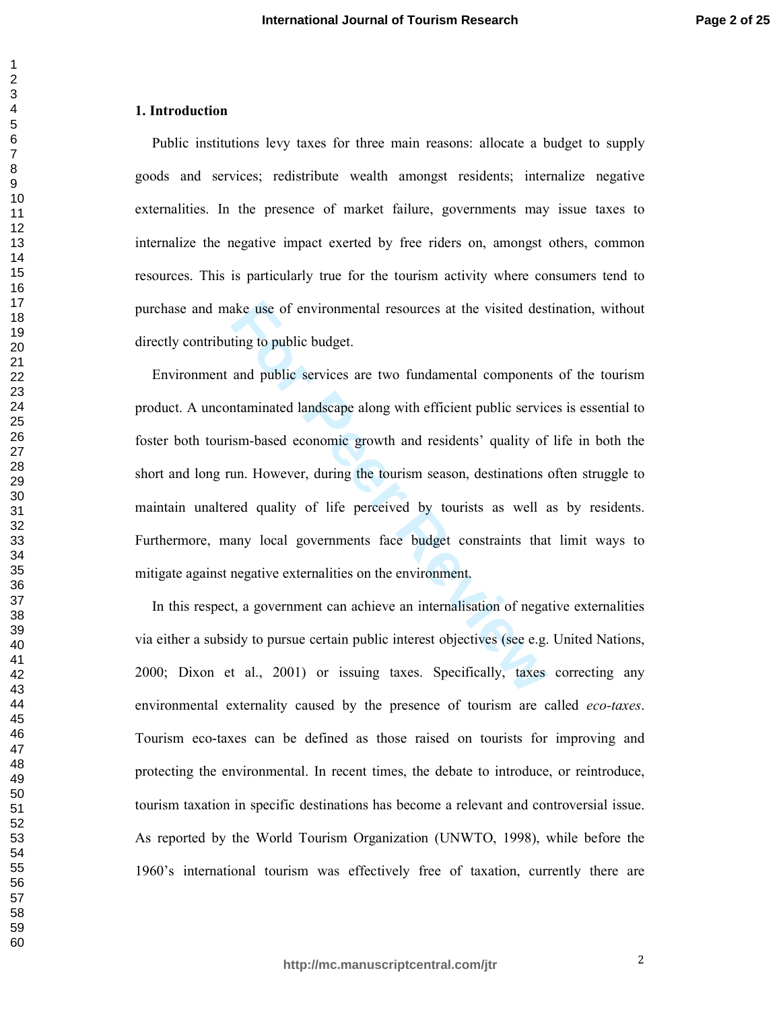## **1. Introduction**

Public institutions levy taxes for three main reasons: allocate a budget to supply goods and services; redistribute wealth amongst residents; internalize negative externalities. In the presence of market failure, governments may issue taxes to internalize the negative impact exerted by free riders on, amongst others, common resources. This is particularly true for the tourism activity where consumers tend to purchase and make use of environmental resources at the visited destination, without directly contributing to public budget.

ake use of environmental resources at the visited dest<br>ting to public budget.<br>and public services are two fundamental components<br>taminated landscape along with efficient public servic<br>ism-based economic growth and resident Environment and public services are two fundamental components of the tourism product. A uncontaminated landscape along with efficient public services is essential to foster both tourism-based economic growth and residents' quality of life in both the short and long run. However, during the tourism season, destinations often struggle to maintain unaltered quality of life perceived by tourists as well as by residents. Furthermore, many local governments face budget constraints that limit ways to mitigate against negative externalities on the environment.

In this respect, a government can achieve an internalisation of negative externalities via either a subsidy to pursue certain public interest objectives (see e.g. United Nations, 2000; Dixon et al., 2001) or issuing taxes. Specifically, taxes correcting any environmental externality caused by the presence of tourism are called *eco-taxes*. Tourism eco-taxes can be defined as those raised on tourists for improving and protecting the environmental. In recent times, the debate to introduce, or reintroduce, tourism taxation in specific destinations has become a relevant and controversial issue. As reported by the World Tourism Organization (UNWTO, 1998), while before the 1960's international tourism was effectively free of taxation, currently there are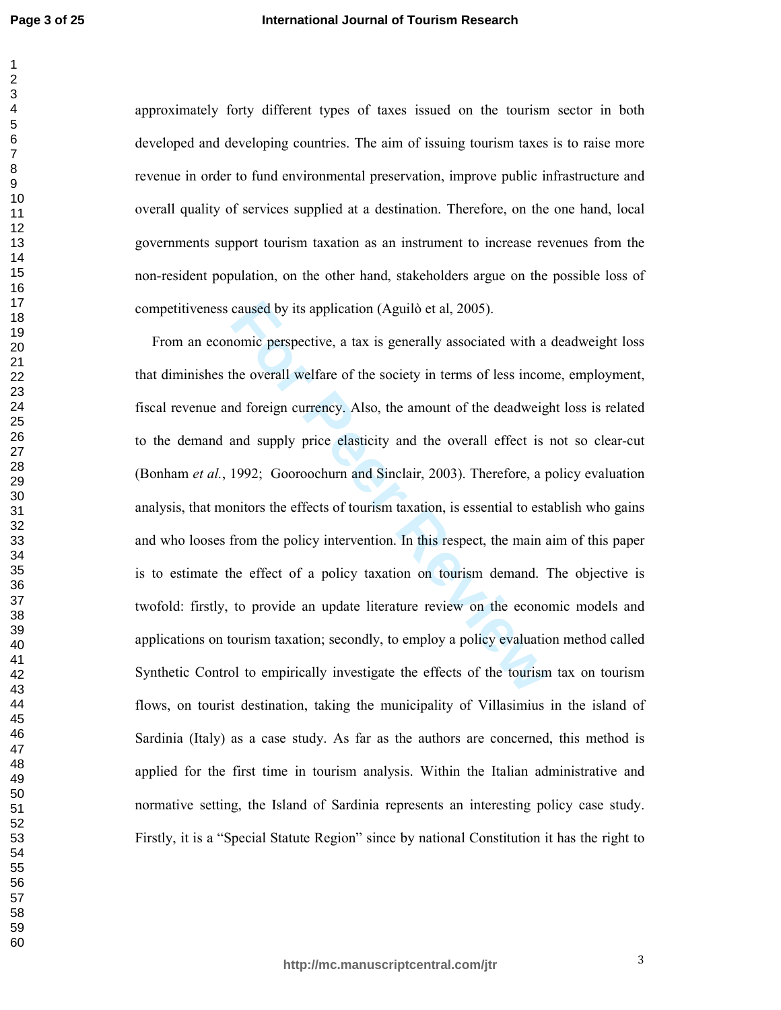**Page 3 of 25**

 $\mathbf{1}$  $\overline{2}$ 

approximately forty different types of taxes issued on the tourism sector in both developed and developing countries. The aim of issuing tourism taxes is to raise more revenue in order to fund environmental preservation, improve public infrastructure and overall quality of services supplied at a destination. Therefore, on the one hand, local governments support tourism taxation as an instrument to increase revenues from the non-resident population, on the other hand, stakeholders argue on the possible loss of competitiveness caused by its application (Aguilò et al, 2005).

caused by its application (Aguilò et al, 2005).<br>
nomic perspective, a tax is generally associated with a<br>
the overall welfare of the society in terms of less incon<br>
nd foreign currency. Also, the amount of the deadweig<br>
an From an economic perspective, a tax is generally associated with a deadweight loss that diminishes the overall welfare of the society in terms of less income, employment, fiscal revenue and foreign currency. Also, the amount of the deadweight loss is related to the demand and supply price elasticity and the overall effect is not so clear-cut (Bonham *et al.*, 1992; Gooroochurn and Sinclair, 2003). Therefore, a policy evaluation analysis, that monitors the effects of tourism taxation, is essential to establish who gains and who looses from the policy intervention. In this respect, the main aim of this paper is to estimate the effect of a policy taxation on tourism demand. The objective is twofold: firstly, to provide an update literature review on the economic models and applications on tourism taxation; secondly, to employ a policy evaluation method called Synthetic Control to empirically investigate the effects of the tourism tax on tourism flows, on tourist destination, taking the municipality of Villasimius in the island of Sardinia (Italy) as a case study. As far as the authors are concerned, this method is applied for the first time in tourism analysis. Within the Italian administrative and normative setting, the Island of Sardinia represents an interesting policy case study. Firstly, it is a "Special Statute Region" since by national Constitution it has the right to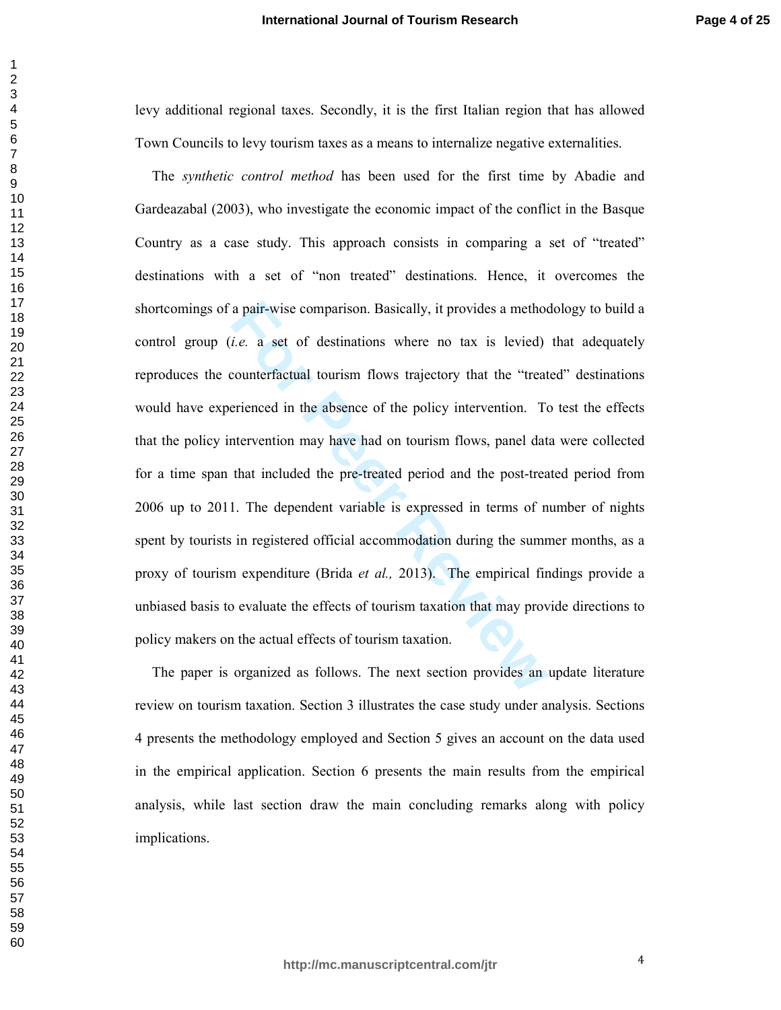levy additional regional taxes. Secondly, it is the first Italian region that has allowed Town Councils to levy tourism taxes as a means to internalize negative externalities.

a pair-wise comparison. Basically, it provides a method *i.e.* a set of destinations where no tax is levied) counterfactual tourism flows trajectory that the "treat erienced in the absence of the policy intervention. To th The *synthetic control method* has been used for the first time by Abadie and Gardeazabal (2003), who investigate the economic impact of the conflict in the Basque Country as a case study. This approach consists in comparing a set of "treated" destinations with a set of "non treated" destinations. Hence, it overcomes the shortcomings of a pair-wise comparison. Basically, it provides a methodology to build a control group (*i.e.* a set of destinations where no tax is levied) that adequately reproduces the counterfactual tourism flows trajectory that the "treated" destinations would have experienced in the absence of the policy intervention. To test the effects that the policy intervention may have had on tourism flows, panel data were collected for a time span that included the pre-treated period and the post-treated period from 2006 up to 2011. The dependent variable is expressed in terms of number of nights spent by tourists in registered official accommodation during the summer months, as a proxy of tourism expenditure (Brida *et al.,* 2013). The empirical findings provide a unbiased basis to evaluate the effects of tourism taxation that may provide directions to policy makers on the actual effects of tourism taxation.

The paper is organized as follows. The next section provides an update literature review on tourism taxation. Section 3 illustrates the case study under analysis. Sections 4 presents the methodology employed and Section 5 gives an account on the data used in the empirical application. Section 6 presents the main results from the empirical analysis, while last section draw the main concluding remarks along with policy implications.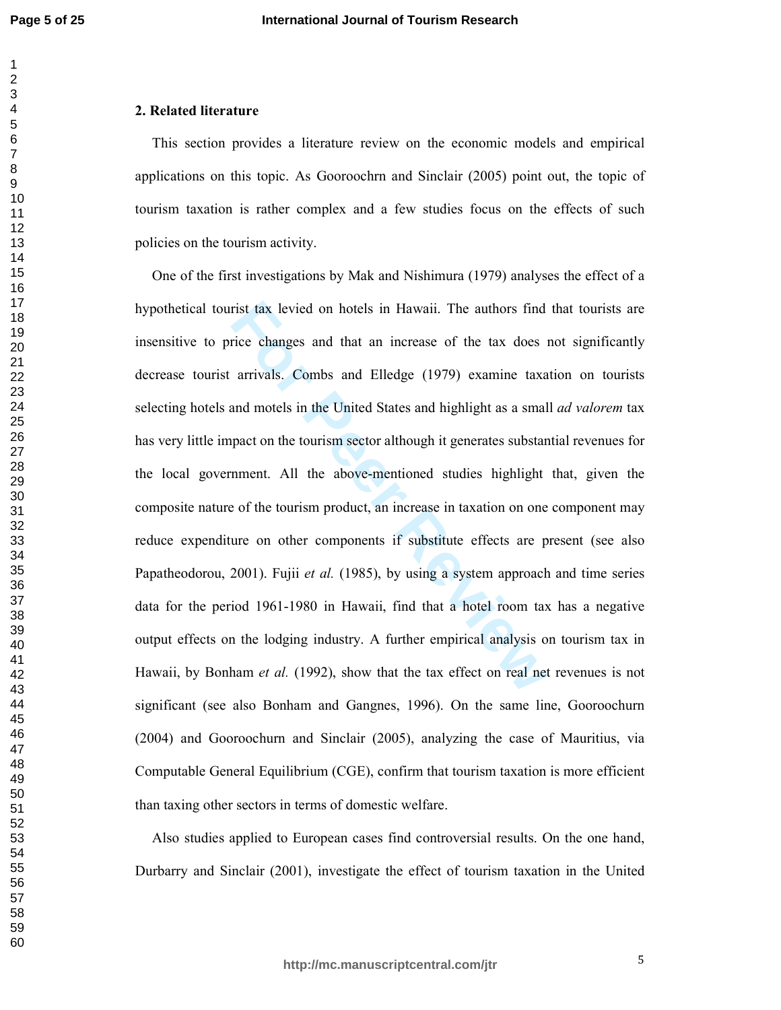## **2. Related literature**

This section provides a literature review on the economic models and empirical applications on this topic. As Gooroochrn and Sinclair (2005) point out, the topic of tourism taxation is rather complex and a few studies focus on the effects of such policies on the tourism activity.

rist tax levied on hotels in Hawaii. The authors find<br>rice changes and that an increase of the tax does in<br>arrivals. Combs and Elledge (1979) examine taxa<br>and motels in the United States and highlight as a smal<br>pact on the One of the first investigations by Mak and Nishimura (1979) analyses the effect of a hypothetical tourist tax levied on hotels in Hawaii. The authors find that tourists are insensitive to price changes and that an increase of the tax does not significantly decrease tourist arrivals. Combs and Elledge (1979) examine taxation on tourists selecting hotels and motels in the United States and highlight as a small *ad valorem* tax has very little impact on the tourism sector although it generates substantial revenues for the local government. All the above-mentioned studies highlight that, given the composite nature of the tourism product, an increase in taxation on one component may reduce expenditure on other components if substitute effects are present (see also Papatheodorou, 2001). Fujii *et al.* (1985), by using a system approach and time series data for the period 1961-1980 in Hawaii, find that a hotel room tax has a negative output effects on the lodging industry. A further empirical analysis on tourism tax in Hawaii, by Bonham *et al.* (1992), show that the tax effect on real net revenues is not significant (see also Bonham and Gangnes, 1996). On the same line, Gooroochurn (2004) and Gooroochurn and Sinclair (2005), analyzing the case of Mauritius, via Computable General Equilibrium (CGE), confirm that tourism taxation is more efficient than taxing other sectors in terms of domestic welfare.

Also studies applied to European cases find controversial results. On the one hand, Durbarry and Sinclair (2001), investigate the effect of tourism taxation in the United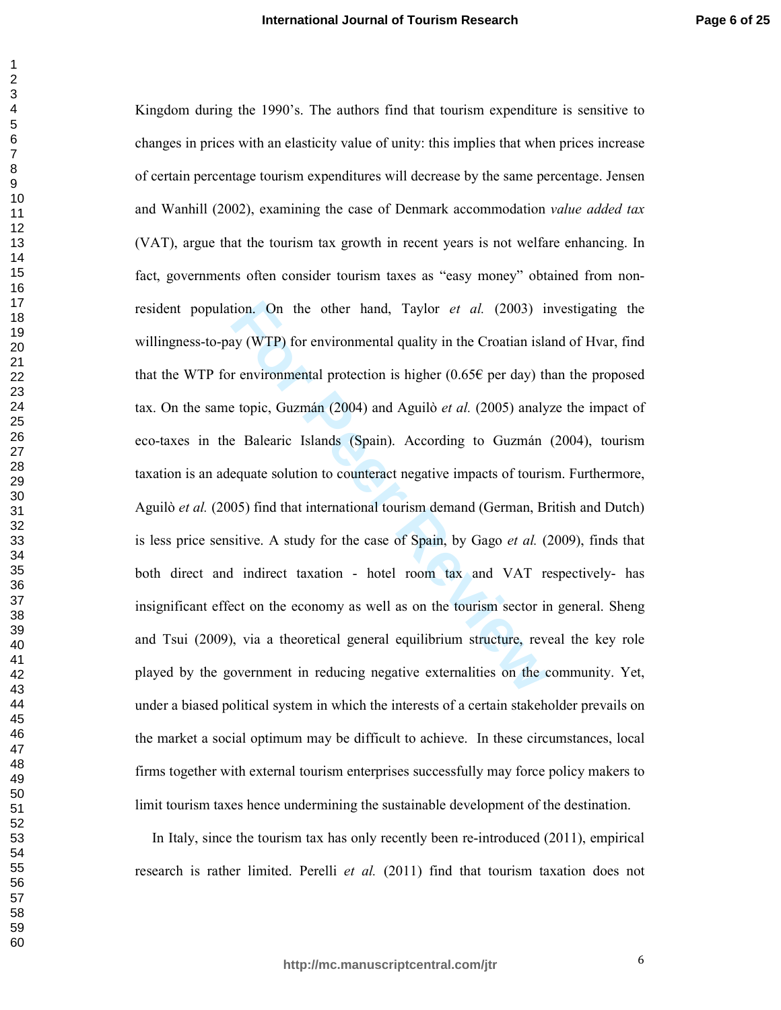tion. On the other hand, Taylor *et al.* (2003) in<br>ay (WTP) for environmental quality in the Croatian isla<br>r environmental protection is higher (0.65€ per day) th<br>e topic, Guzmán (2004) and Aguilò *et al.* (2005) analy<br>e Kingdom during the 1990's. The authors find that tourism expenditure is sensitive to changes in prices with an elasticity value of unity: this implies that when prices increase of certain percentage tourism expenditures will decrease by the same percentage. Jensen and Wanhill (2002), examining the case of Denmark accommodation *value added tax* (VAT), argue that the tourism tax growth in recent years is not welfare enhancing. In fact, governments often consider tourism taxes as "easy money" obtained from nonresident population. On the other hand, Taylor *et al.* (2003) investigating the willingness-to-pay (WTP) for environmental quality in the Croatian island of Hvar, find that the WTP for environmental protection is higher (0.65 $\epsilon$  per day) than the proposed tax. On the same topic, Guzmán (2004) and Aguilò *et al.* (2005) analyze the impact of eco-taxes in the Balearic Islands (Spain). According to Guzmán (2004), tourism taxation is an adequate solution to counteract negative impacts of tourism. Furthermore, Aguilò *et al.* (2005) find that international tourism demand (German, British and Dutch) is less price sensitive. A study for the case of Spain, by Gago *et al.* (2009), finds that both direct and indirect taxation - hotel room tax and VAT respectively- has insignificant effect on the economy as well as on the tourism sector in general. Sheng and Tsui (2009), via a theoretical general equilibrium structure, reveal the key role played by the government in reducing negative externalities on the community. Yet, under a biased political system in which the interests of a certain stakeholder prevails on the market a social optimum may be difficult to achieve. In these circumstances, local firms together with external tourism enterprises successfully may force policy makers to limit tourism taxes hence undermining the sustainable development of the destination.

In Italy, since the tourism tax has only recently been re-introduced (2011), empirical research is rather limited. Perelli *et al.* (2011) find that tourism taxation does not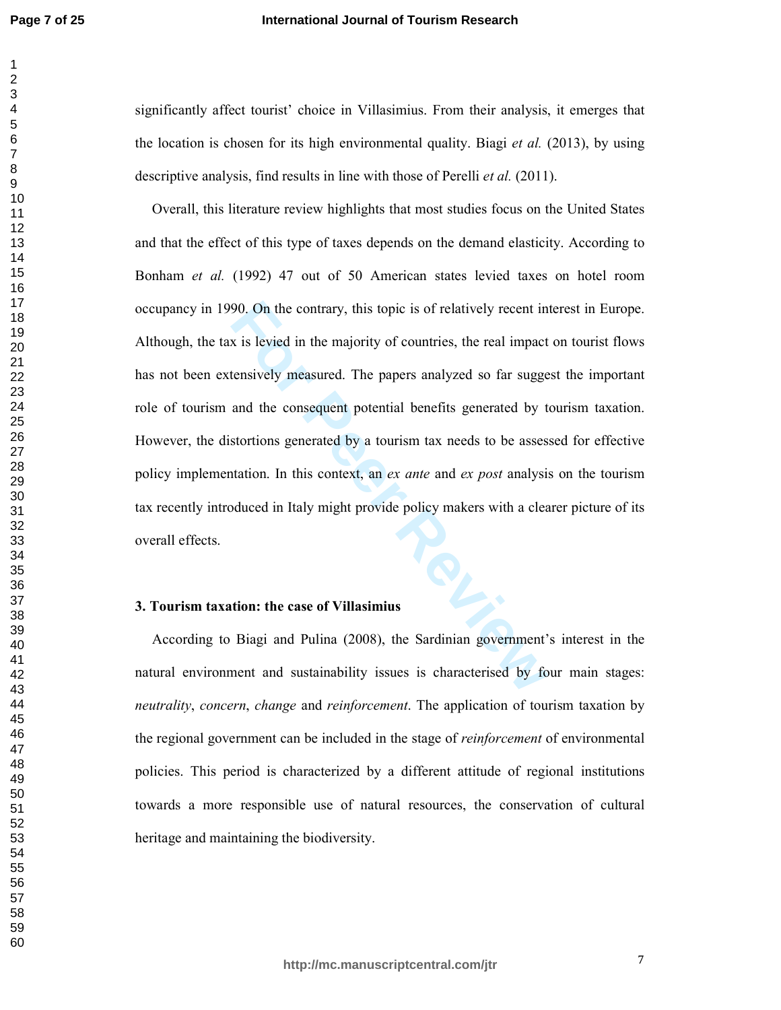## **International Journal of Tourism Research**

significantly affect tourist' choice in Villasimius. From their analysis, it emerges that the location is chosen for its high environmental quality. Biagi *et al.* (2013), by using descriptive analysis, find results in line with those of Perelli *et al.* (2011).

90. On the contrary, this topic is of relatively recent in<br>x is levied in the majority of countries, the real impact<br>tensively measured. The papers analyzed so far sugge<br>and the consequent potential benefits generated by t Overall, this literature review highlights that most studies focus on the United States and that the effect of this type of taxes depends on the demand elasticity. According to Bonham *et al.* (1992) 47 out of 50 American states levied taxes on hotel room occupancy in 1990. On the contrary, this topic is of relatively recent interest in Europe. Although, the tax is levied in the majority of countries, the real impact on tourist flows has not been extensively measured. The papers analyzed so far suggest the important role of tourism and the consequent potential benefits generated by tourism taxation. However, the distortions generated by a tourism tax needs to be assessed for effective policy implementation. In this context, an *ex ante* and *ex post* analysis on the tourism tax recently introduced in Italy might provide policy makers with a clearer picture of its overall effects. **3. Tourism taxation: the case of Villasimius** 

According to Biagi and Pulina (2008), the Sardinian government's interest in the natural environment and sustainability issues is characterised by four main stages: *neutrality*, *concern*, *change* and *reinforcement*. The application of tourism taxation by the regional government can be included in the stage of *reinforcement* of environmental policies. This period is characterized by a different attitude of regional institutions towards a more responsible use of natural resources, the conservation of cultural heritage and maintaining the biodiversity.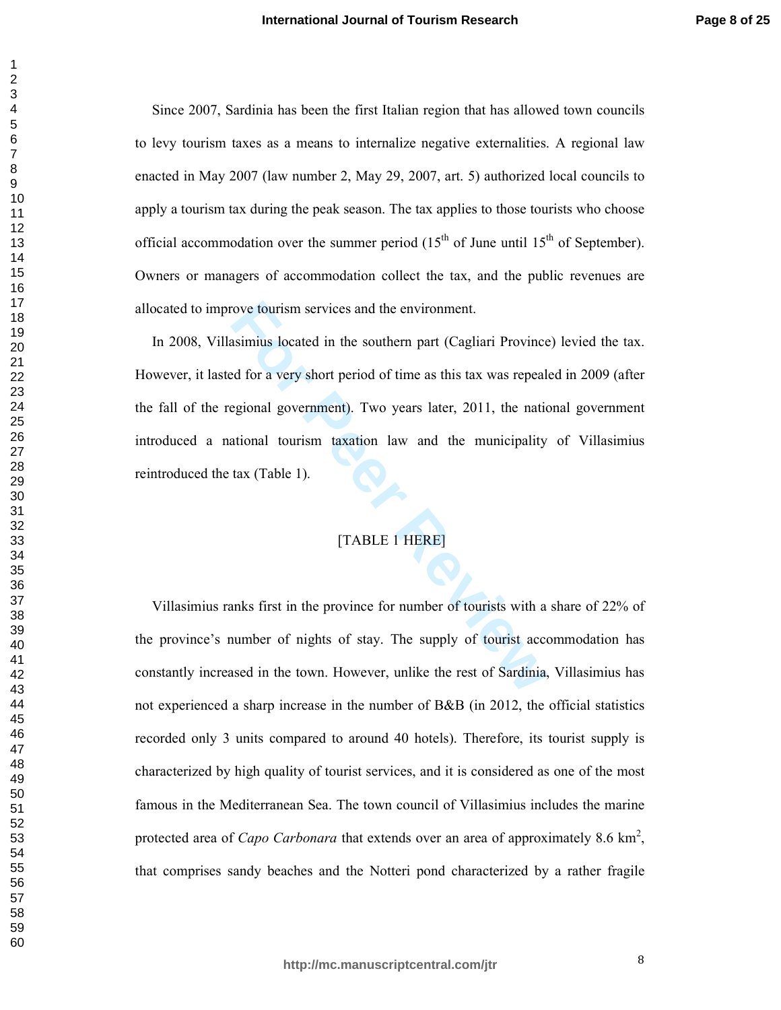Since 2007, Sardinia has been the first Italian region that has allowed town councils to levy tourism taxes as a means to internalize negative externalities. A regional law enacted in May 2007 (law number 2, May 29, 2007, art. 5) authorized local councils to apply a tourism tax during the peak season. The tax applies to those tourists who choose official accommodation over the summer period  $(15<sup>th</sup>$  of June until  $15<sup>th</sup>$  of September). Owners or managers of accommodation collect the tax, and the public revenues are allocated to improve tourism services and the environment.

For Provinces and the environment.<br> **Example 15 Solution** Societed in the southern part (Cagliari Province<br>
Example 2011 and the southern part (Cagliari Province<br>
Example 2011, the national dourism taxation law and the mun In 2008, Villasimius located in the southern part (Cagliari Province) levied the tax. However, it lasted for a very short period of time as this tax was repealed in 2009 (after the fall of the regional government). Two years later, 2011, the national government introduced a national tourism taxation law and the municipality of Villasimius reintroduced the tax (Table 1).

# [TABLE 1 HERE]

Villasimius ranks first in the province for number of tourists with a share of 22% of the province's number of nights of stay. The supply of tourist accommodation has constantly increased in the town. However, unlike the rest of Sardinia, Villasimius has not experienced a sharp increase in the number of B&B (in 2012, the official statistics recorded only 3 units compared to around 40 hotels). Therefore, its tourist supply is characterized by high quality of tourist services, and it is considered as one of the most famous in the Mediterranean Sea. The town council of Villasimius includes the marine protected area of *Capo Carbonara* that extends over an area of approximately 8.6 km<sup>2</sup>, that comprises sandy beaches and the Notteri pond characterized by a rather fragile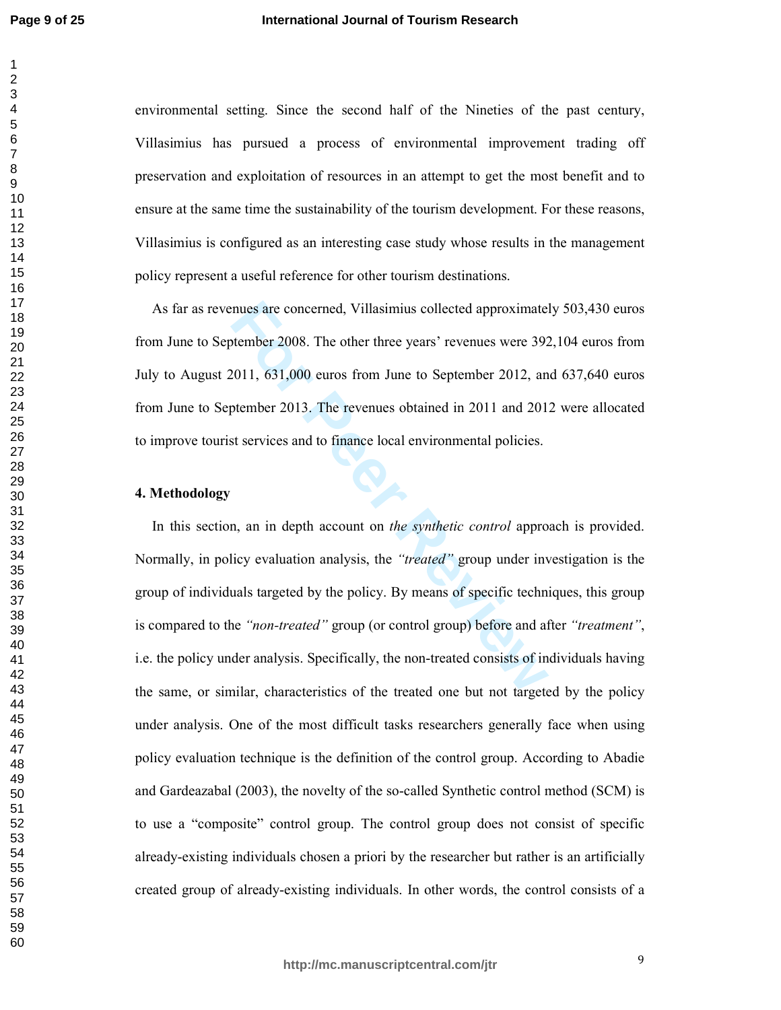environmental setting. Since the second half of the Nineties of the past century, Villasimius has pursued a process of environmental improvement trading off preservation and exploitation of resources in an attempt to get the most benefit and to ensure at the same time the sustainability of the tourism development. For these reasons, Villasimius is configured as an interesting case study whose results in the management policy represent a useful reference for other tourism destinations.

As far as revenues are concerned, Villasimius collected approximately 503,430 euros from June to September 2008. The other three years' revenues were 392,104 euros from July to August 2011, 631,000 euros from June to September 2012, and 637,640 euros from June to September 2013. The revenues obtained in 2011 and 2012 were allocated to improve tourist services and to finance local environmental policies.

# **4. Methodology**

mues are concerned, Villasimius collected approximate<br> **For Peer 2008.** The other three years' revenues were 392<br> **For Peer 2013.** The revenues obtained in 2011 and 201<br> **St services and to finance local environmental poli** In this section, an in depth account on *the synthetic control* approach is provided. Normally, in policy evaluation analysis, the *"treated"* group under investigation is the group of individuals targeted by the policy. By means of specific techniques, this group is compared to the *"non-treated"* group (or control group) before and after *"treatment"*, i.e. the policy under analysis. Specifically, the non-treated consists of individuals having the same, or similar, characteristics of the treated one but not targeted by the policy under analysis. One of the most difficult tasks researchers generally face when using policy evaluation technique is the definition of the control group. According to Abadie and Gardeazabal (2003), the novelty of the so-called Synthetic control method (SCM) is to use a "composite" control group. The control group does not consist of specific already-existing individuals chosen a priori by the researcher but rather is an artificially created group of already-existing individuals. In other words, the control consists of a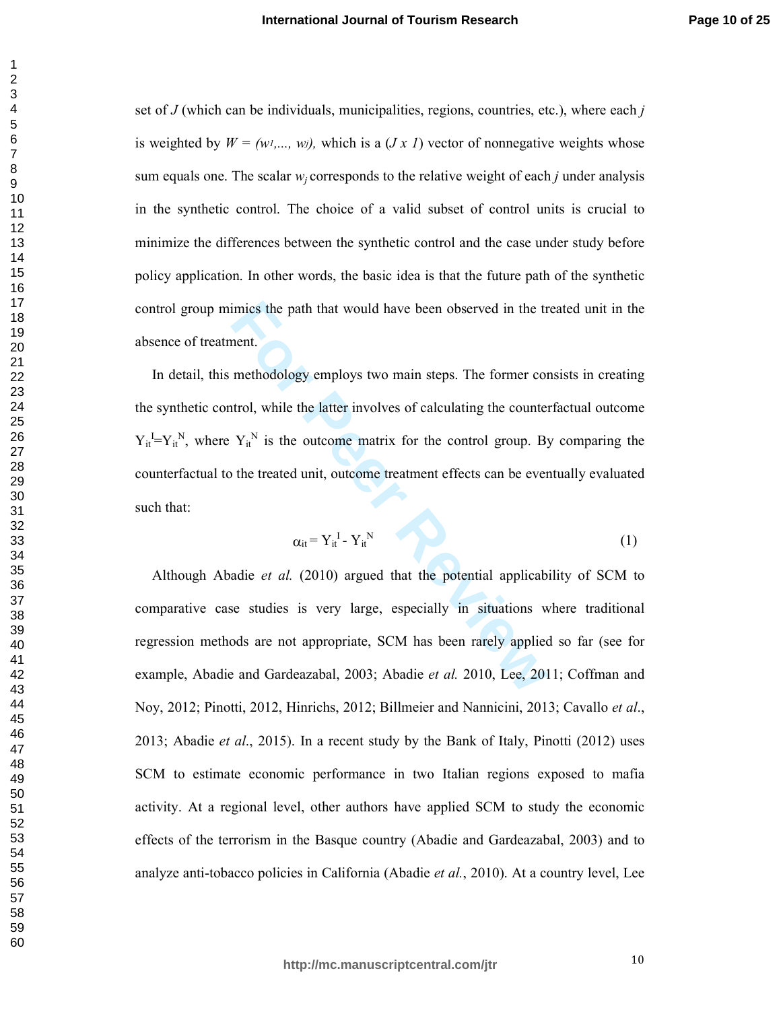set of  $J$  (which can be individuals, municipalities, regions, countries, etc.), where each  $j$ is weighted by  $W = (w_1, ..., w_j)$ , which is a  $(Jx, I)$  vector of nonnegative weights whose sum equals one. The scalar  $w_j$  corresponds to the relative weight of each *j* under analysis in the synthetic control. The choice of a valid subset of control units is crucial to minimize the differences between the synthetic control and the case under study before policy application. In other words, the basic idea is that the future path of the synthetic control group mimics the path that would have been observed in the treated unit in the absence of treatment.

imics the path that would have been observed in the tr<br>nent.<br>methodology employs two main steps. The former cor<br>trol, while the latter involves of calculating the counter<br> $Y_{ii}^N$  is the outcome matrix for the control gro In detail, this methodology employs two main steps. The former consists in creating the synthetic control, while the latter involves of calculating the counterfactual outcome  $Y_{it}^I = Y_{it}^N$ , where  $Y_{it}^N$  is the outcome matrix for the control group. By comparing the counterfactual to the treated unit, outcome treatment effects can be eventually evaluated such that:

$$
\alpha_{it} = Y_{it}^{\text{I}} - Y_{it}^{\text{N}} \tag{1}
$$

Although Abadie *et al.* (2010) argued that the potential applicability of SCM to comparative case studies is very large, especially in situations where traditional regression methods are not appropriate, SCM has been rarely applied so far (see for example, Abadie and Gardeazabal, 2003; Abadie *et al.* 2010, Lee, 2011; Coffman and Noy, 2012; Pinotti, 2012, Hinrichs, 2012; Billmeier and Nannicini, 2013; Cavallo *et al*., 2013; Abadie *et al*., 2015). In a recent study by the Bank of Italy, Pinotti (2012) uses SCM to estimate economic performance in two Italian regions exposed to mafia activity. At a regional level, other authors have applied SCM to study the economic effects of the terrorism in the Basque country (Abadie and Gardeazabal, 2003) and to analyze anti-tobacco policies in California (Abadie *et al.*, 2010). At a country level, Lee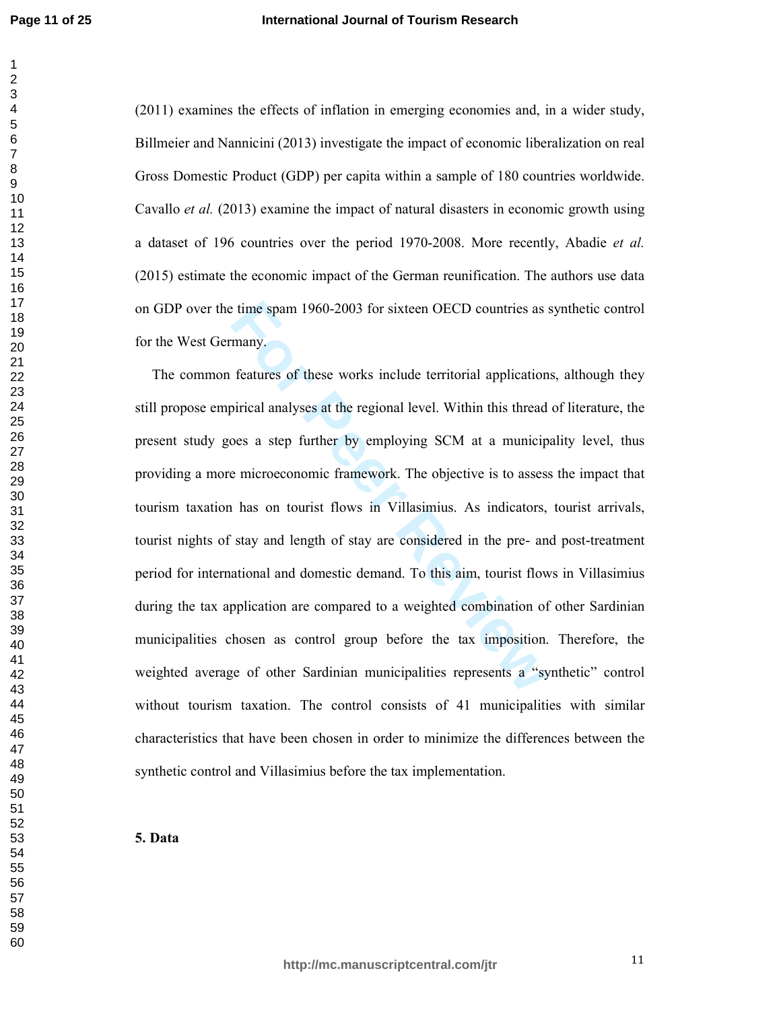(2011) examines the effects of inflation in emerging economies and, in a wider study, Billmeier and Nannicini (2013) investigate the impact of economic liberalization on real Gross Domestic Product (GDP) per capita within a sample of 180 countries worldwide. Cavallo *et al.* (2013) examine the impact of natural disasters in economic growth using a dataset of 196 countries over the period 1970-2008. More recently, Abadie *et al.* (2015) estimate the economic impact of the German reunification. The authors use data on GDP over the time spam 1960-2003 for sixteen OECD countries as synthetic control for the West Germany.

External 1960-2003 for sixteen OECD countries as many.<br> **For Formal Amazing Set Amazing Set Amazing in the regional level.** Within this thread<br>
poses a step further by employing SCM at a municip<br>
e microeconomic framework. The common features of these works include territorial applications, although they still propose empirical analyses at the regional level. Within this thread of literature, the present study goes a step further by employing SCM at a municipality level, thus providing a more microeconomic framework. The objective is to assess the impact that tourism taxation has on tourist flows in Villasimius. As indicators, tourist arrivals, tourist nights of stay and length of stay are considered in the pre- and post-treatment period for international and domestic demand. To this aim, tourist flows in Villasimius during the tax application are compared to a weighted combination of other Sardinian municipalities chosen as control group before the tax imposition. Therefore, the weighted average of other Sardinian municipalities represents a "synthetic" control without tourism taxation. The control consists of 41 municipalities with similar characteristics that have been chosen in order to minimize the differences between the synthetic control and Villasimius before the tax implementation.

**5. Data**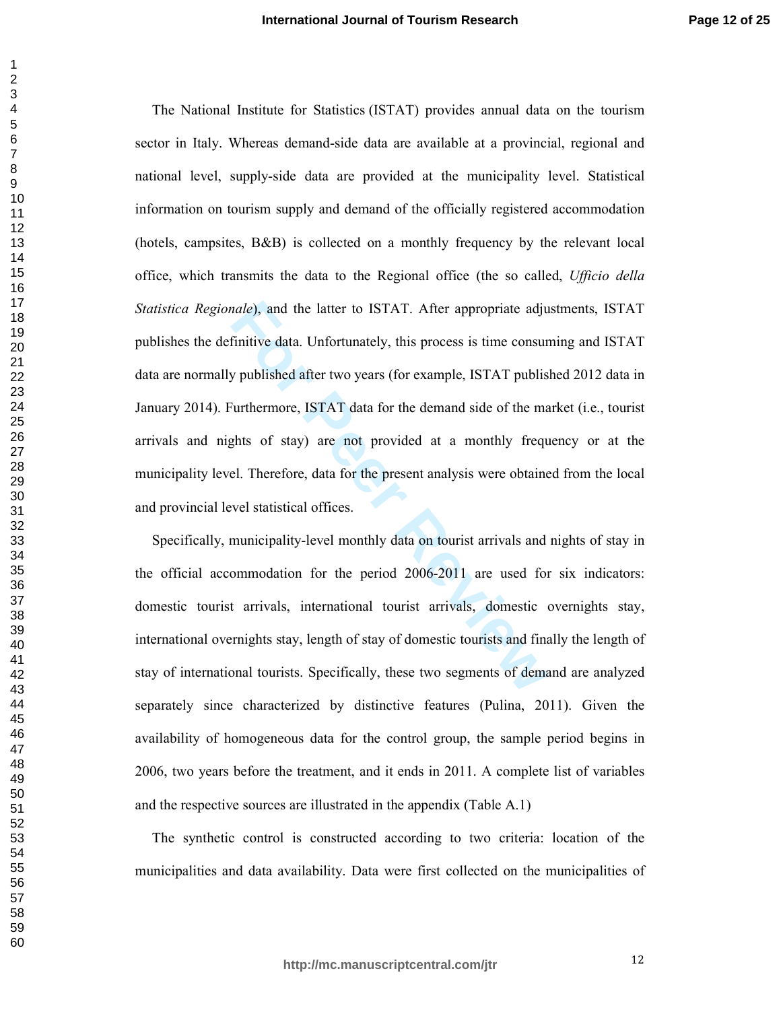*nale*), and the latter to ISTAT. After appropriate adjumitive data. Unfortunately, this process is time consury published after two years (for example, ISTAT publis in unclusion consury published after two years (for exam The National Institute for Statistics (ISTAT) provides annual data on the tourism sector in Italy. Whereas demand-side data are available at a provincial, regional and national level, supply-side data are provided at the municipality level. Statistical information on tourism supply and demand of the officially registered accommodation (hotels, campsites, B&B) is collected on a monthly frequency by the relevant local office, which transmits the data to the Regional office (the so called, *Ufficio della Statistica Regionale*), and the latter to ISTAT. After appropriate adjustments, ISTAT publishes the definitive data. Unfortunately, this process is time consuming and ISTAT data are normally published after two years (for example, ISTAT published 2012 data in January 2014). Furthermore, ISTAT data for the demand side of the market (i.e., tourist arrivals and nights of stay) are not provided at a monthly frequency or at the municipality level. Therefore, data for the present analysis were obtained from the local and provincial level statistical offices.

Specifically, municipality-level monthly data on tourist arrivals and nights of stay in the official accommodation for the period 2006-2011 are used for six indicators: domestic tourist arrivals, international tourist arrivals, domestic overnights stay, international overnights stay, length of stay of domestic tourists and finally the length of stay of international tourists. Specifically, these two segments of demand are analyzed separately since characterized by distinctive features (Pulina, 2011). Given the availability of homogeneous data for the control group, the sample period begins in 2006, two years before the treatment, and it ends in 2011. A complete list of variables and the respective sources are illustrated in the appendix (Table A.1)

The synthetic control is constructed according to two criteria: location of the municipalities and data availability. Data were first collected on the municipalities of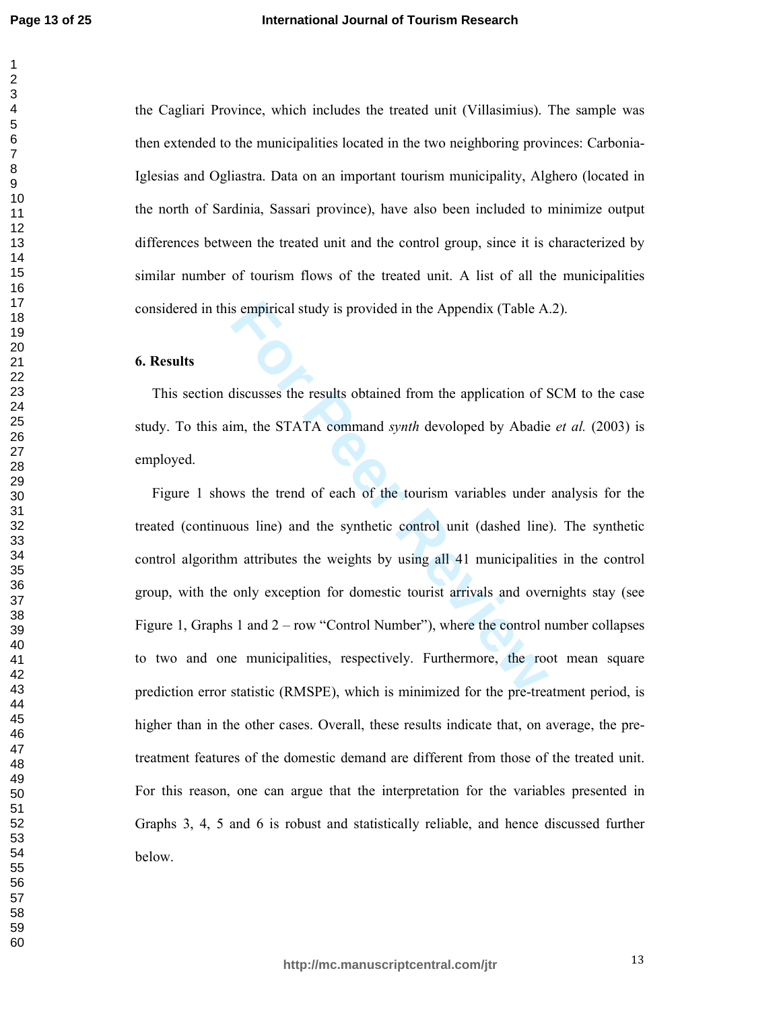the Cagliari Province, which includes the treated unit (Villasimius). The sample was then extended to the municipalities located in the two neighboring provinces: Carbonia-Iglesias and Ogliastra. Data on an important tourism municipality, Alghero (located in the north of Sardinia, Sassari province), have also been included to minimize output differences between the treated unit and the control group, since it is characterized by similar number of tourism flows of the treated unit. A list of all the municipalities considered in this empirical study is provided in the Appendix (Table A.2).

# **6. Results**

This section discusses the results obtained from the application of SCM to the case study. To this aim, the STATA command *synth* devoloped by Abadie *et al.* (2003) is employed.

s empirical study is provided in the Appendix (Table A<br>discusses the results obtained from the application of S<br>im, the STATA command *synth* devoloped by Abadie<br>ws the trend of each of the tourism variables under<br>ous line Figure 1 shows the trend of each of the tourism variables under analysis for the treated (continuous line) and the synthetic control unit (dashed line). The synthetic control algorithm attributes the weights by using all 41 municipalities in the control group, with the only exception for domestic tourist arrivals and overnights stay (see Figure 1, Graphs 1 and 2 – row "Control Number"), where the control number collapses to two and one municipalities, respectively. Furthermore, the root mean square prediction error statistic (RMSPE), which is minimized for the pre-treatment period, is higher than in the other cases. Overall, these results indicate that, on average, the pretreatment features of the domestic demand are different from those of the treated unit. For this reason, one can argue that the interpretation for the variables presented in Graphs 3, 4, 5 and 6 is robust and statistically reliable, and hence discussed further below.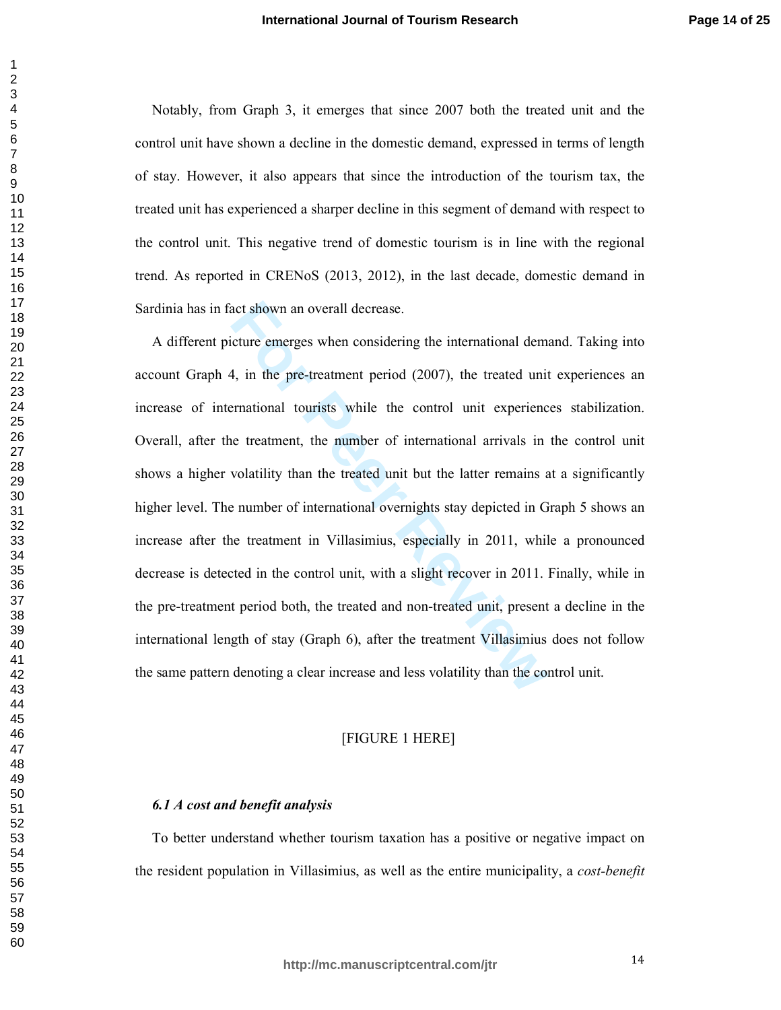Notably, from Graph 3, it emerges that since 2007 both the treated unit and the control unit have shown a decline in the domestic demand, expressed in terms of length of stay. However, it also appears that since the introduction of the tourism tax, the treated unit has experienced a sharper decline in this segment of demand with respect to the control unit. This negative trend of domestic tourism is in line with the regional trend. As reported in CRENoS (2013, 2012), in the last decade, domestic demand in Sardinia has in fact shown an overall decrease.

act shown an overall decrease.<br>
tture emerges when considering the international dem-<br>
4, in the pre-treatment period (2007), the treated unit<br>
revariational tourists while the control unit experienc<br>
te treatment, the num A different picture emerges when considering the international demand. Taking into account Graph 4, in the pre-treatment period (2007), the treated unit experiences an increase of international tourists while the control unit experiences stabilization. Overall, after the treatment, the number of international arrivals in the control unit shows a higher volatility than the treated unit but the latter remains at a significantly higher level. The number of international overnights stay depicted in Graph 5 shows an increase after the treatment in Villasimius, especially in 2011, while a pronounced decrease is detected in the control unit, with a slight recover in 2011. Finally, while in the pre-treatment period both, the treated and non-treated unit, present a decline in the international length of stay (Graph 6), after the treatment Villasimius does not follow the same pattern denoting a clear increase and less volatility than the control unit.

## [FIGURE 1 HERE]

## *6.1 A cost and benefit analysis*

To better understand whether tourism taxation has a positive or negative impact on the resident population in Villasimius, as well as the entire municipality, a *cost-benefit*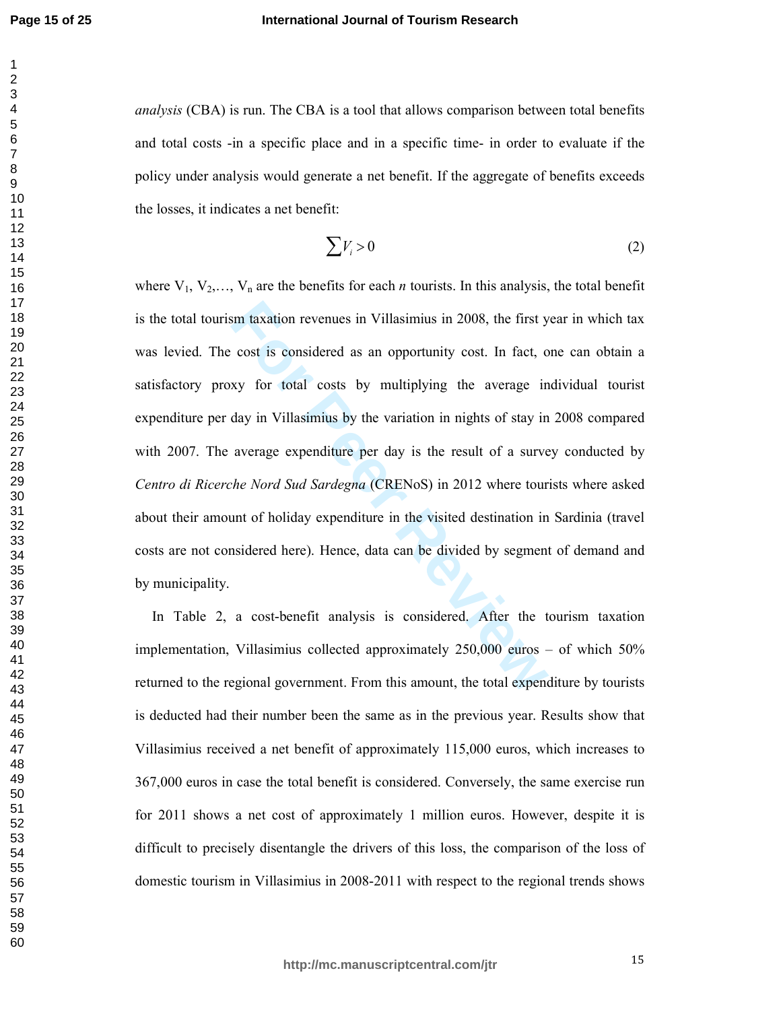*analysis* (CBA) is run. The CBA is a tool that allows comparison between total benefits and total costs -in a specific place and in a specific time- in order to evaluate if the policy under analysis would generate a net benefit. If the aggregate of benefits exceeds the losses, it indicates a net benefit:

$$
\sum V_i > 0 \tag{2}
$$

sm taxation revenues in Villasimius in 2008, the first y<br>cost is considered as an opportunity cost. In fact, o<br>xy for total costs by multiplying the average in<br>day in Villasimius by the variation in nights of stay in<br>avera where  $V_1, V_2, \ldots, V_n$  are the benefits for each *n* tourists. In this analysis, the total benefit is the total tourism taxation revenues in Villasimius in 2008, the first year in which tax was levied. The cost is considered as an opportunity cost. In fact, one can obtain a satisfactory proxy for total costs by multiplying the average individual tourist expenditure per day in Villasimius by the variation in nights of stay in 2008 compared with 2007. The average expenditure per day is the result of a survey conducted by *Centro di Ricerche Nord Sud Sardegna* (CRENoS) in 2012 where tourists where asked about their amount of holiday expenditure in the visited destination in Sardinia (travel costs are not considered here). Hence, data can be divided by segment of demand and by municipality.

In Table 2, a cost-benefit analysis is considered. After the tourism taxation implementation, Villasimius collected approximately 250,000 euros – of which 50% returned to the regional government. From this amount, the total expenditure by tourists is deducted had their number been the same as in the previous year. Results show that Villasimius received a net benefit of approximately 115,000 euros, which increases to 367,000 euros in case the total benefit is considered. Conversely, the same exercise run for 2011 shows a net cost of approximately 1 million euros. However, despite it is difficult to precisely disentangle the drivers of this loss, the comparison of the loss of domestic tourism in Villasimius in 2008-2011 with respect to the regional trends shows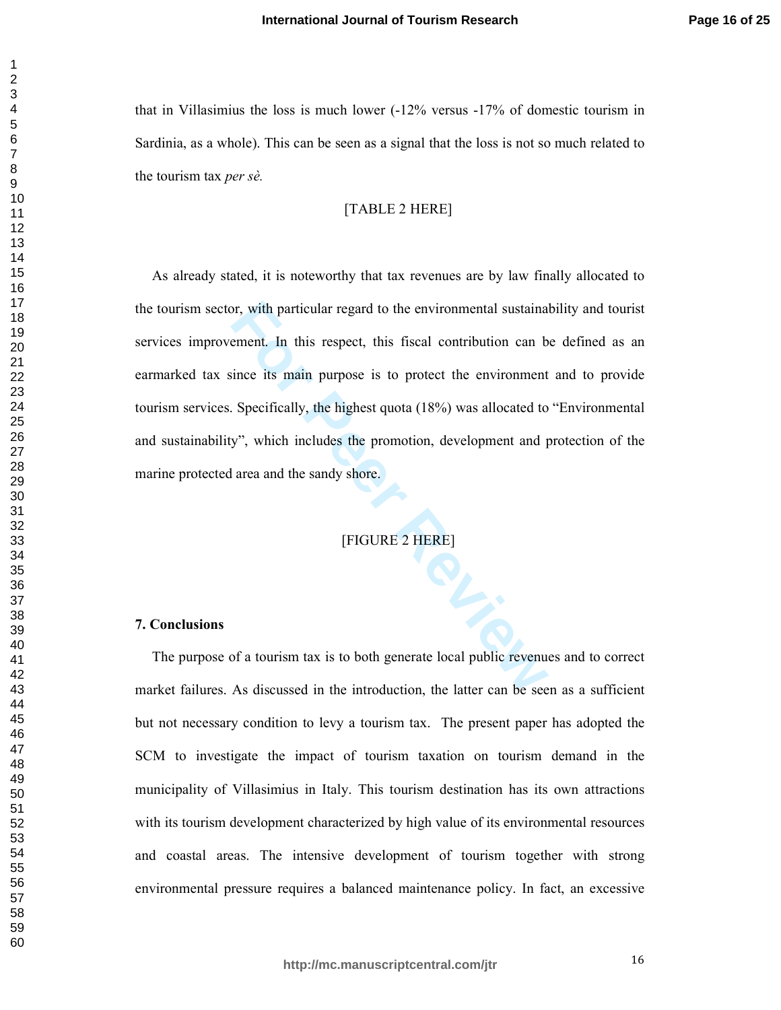that in Villasimius the loss is much lower (-12% versus -17% of domestic tourism in Sardinia, as a whole). This can be seen as a signal that the loss is not so much related to the tourism tax *per sè.*

[TABLE 2 HERE]

For with particular regard to the environmental sustainal<br>
ement. In this respect, this fiscal contribution can b<br>
since its main purpose is to protect the environment<br>
Specifically, the highest quota (18%) was allocated t As already stated, it is noteworthy that tax revenues are by law finally allocated to the tourism sector, with particular regard to the environmental sustainability and tourist services improvement. In this respect, this fiscal contribution can be defined as an earmarked tax since its main purpose is to protect the environment and to provide tourism services. Specifically, the highest quota (18%) was allocated to "Environmental and sustainability", which includes the promotion, development and protection of the marine protected area and the sandy shore.

[FIGURE 2 HERE]

# **7. Conclusions**

The purpose of a tourism tax is to both generate local public revenues and to correct market failures. As discussed in the introduction, the latter can be seen as a sufficient but not necessary condition to levy a tourism tax. The present paper has adopted the SCM to investigate the impact of tourism taxation on tourism demand in the municipality of Villasimius in Italy. This tourism destination has its own attractions with its tourism development characterized by high value of its environmental resources and coastal areas. The intensive development of tourism together with strong environmental pressure requires a balanced maintenance policy. In fact, an excessive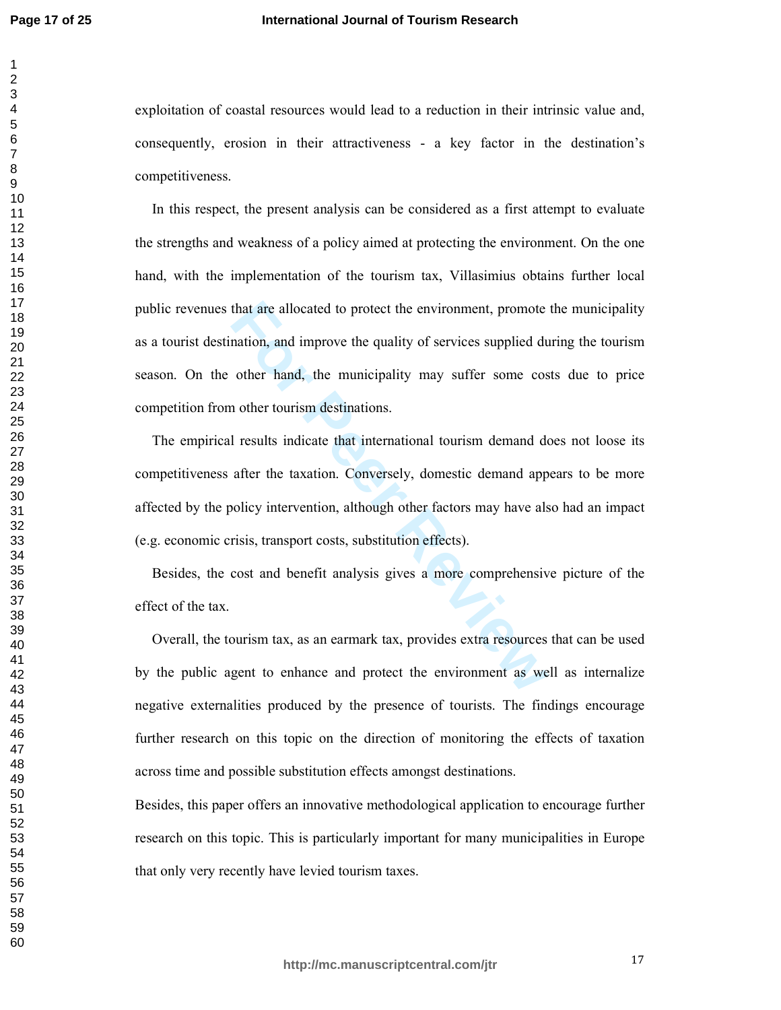exploitation of coastal resources would lead to a reduction in their intrinsic value and, consequently, erosion in their attractiveness - a key factor in the destination's competitiveness.

that are allocated to protect the environment, promote<br>nation, and improve the quality of services supplied du<br>other hand, the municipality may suffer some cos<br>n other tourism destinations.<br>I results indicate that internat In this respect, the present analysis can be considered as a first attempt to evaluate the strengths and weakness of a policy aimed at protecting the environment. On the one hand, with the implementation of the tourism tax, Villasimius obtains further local public revenues that are allocated to protect the environment, promote the municipality as a tourist destination, and improve the quality of services supplied during the tourism season. On the other hand, the municipality may suffer some costs due to price competition from other tourism destinations.

The empirical results indicate that international tourism demand does not loose its competitiveness after the taxation. Conversely, domestic demand appears to be more affected by the policy intervention, although other factors may have also had an impact (e.g. economic crisis, transport costs, substitution effects).

Besides, the cost and benefit analysis gives a more comprehensive picture of the effect of the tax.

Overall, the tourism tax, as an earmark tax, provides extra resources that can be used by the public agent to enhance and protect the environment as well as internalize negative externalities produced by the presence of tourists. The findings encourage further research on this topic on the direction of monitoring the effects of taxation across time and possible substitution effects amongst destinations.

Besides, this paper offers an innovative methodological application to encourage further research on this topic. This is particularly important for many municipalities in Europe that only very recently have levied tourism taxes.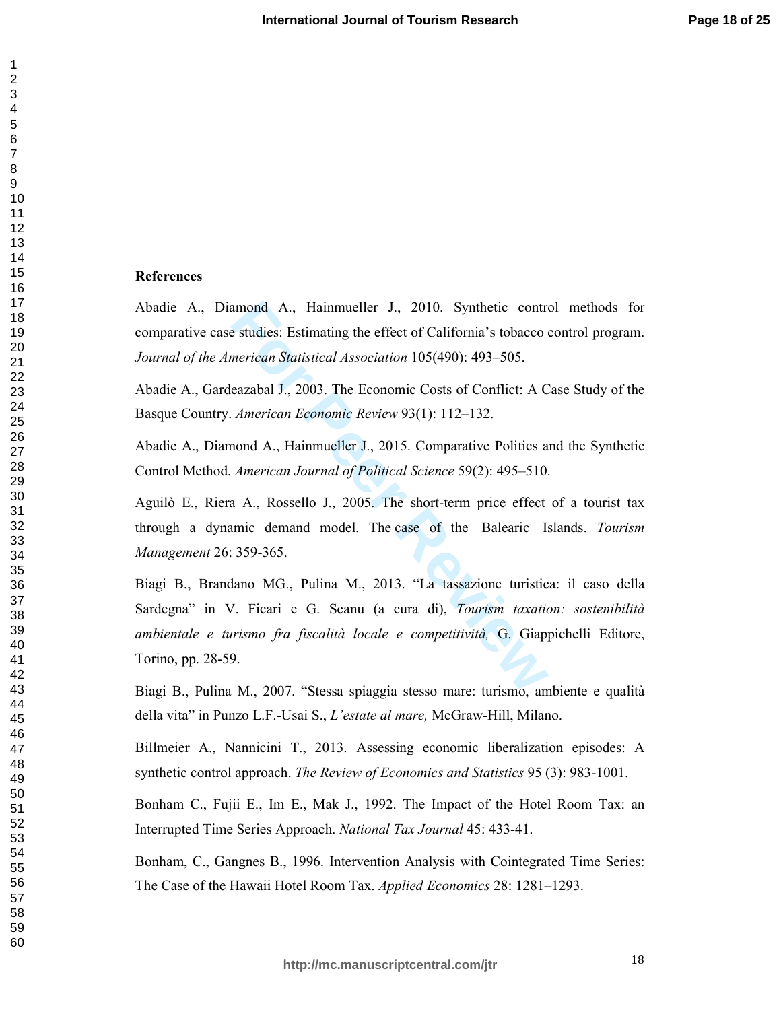#### **References**

Abadie A., Diamond A., Hainmueller J., 2010. Synthetic control methods for comparative case studies: Estimating the effect of California's tobacco control program. *Journal of the American Statistical Association* 105(490): 493–505.

Abadie A., Gardeazabal J., 2003. The Economic Costs of Conflict: A Case Study of the Basque Country. *American Economic Review* 93(1): 112–132.

Abadie A., Diamond A., Hainmueller J., 2015. Comparative Politics and the Synthetic Control Method. *American Journal of Political Science* 59(2): 495–510.

Aguilò E., Riera A., Rossello J., 2005. The short-term price effect of a tourist tax through a dynamic demand model. The case of the Balearic Islands. *Tourism Management* 26: 359-365.

amond A., Hainmueller J., 2010. Synthetic contrendent and also estudies: Estimating the effect of California's tobacco *inerican Statistical Association* 105(490): 493–505.<br>
Eazabal J., 2003. The Economic Costs of Conflict Biagi B., Brandano MG., Pulina M., 2013. "La tassazione turistica: il caso della Sardegna" in V. Ficari e G. Scanu (a cura di), *Tourism taxation: sostenibilità ambientale e turismo fra fiscalità locale e competitività,* G. Giappichelli Editore, Torino, pp. 28-59.

Biagi B., Pulina M., 2007. "Stessa spiaggia stesso mare: turismo, ambiente e qualità della vita" in Punzo L.F.-Usai S., *L'estate al mare,* McGraw-Hill, Milano.

Billmeier A., Nannicini T., 2013. Assessing economic liberalization episodes: A synthetic control approach. *The Review of Economics and Statistics* 95 (3): 983-1001.

Bonham C., Fujii E., Im E., Mak J., 1992. The Impact of the Hotel Room Tax: an Interrupted Time Series Approach. *National Tax Journal* 45: 433-41.

Bonham, C., Gangnes B., 1996. Intervention Analysis with Cointegrated Time Series: The Case of the Hawaii Hotel Room Tax. *Applied Economics* 28: 1281–1293.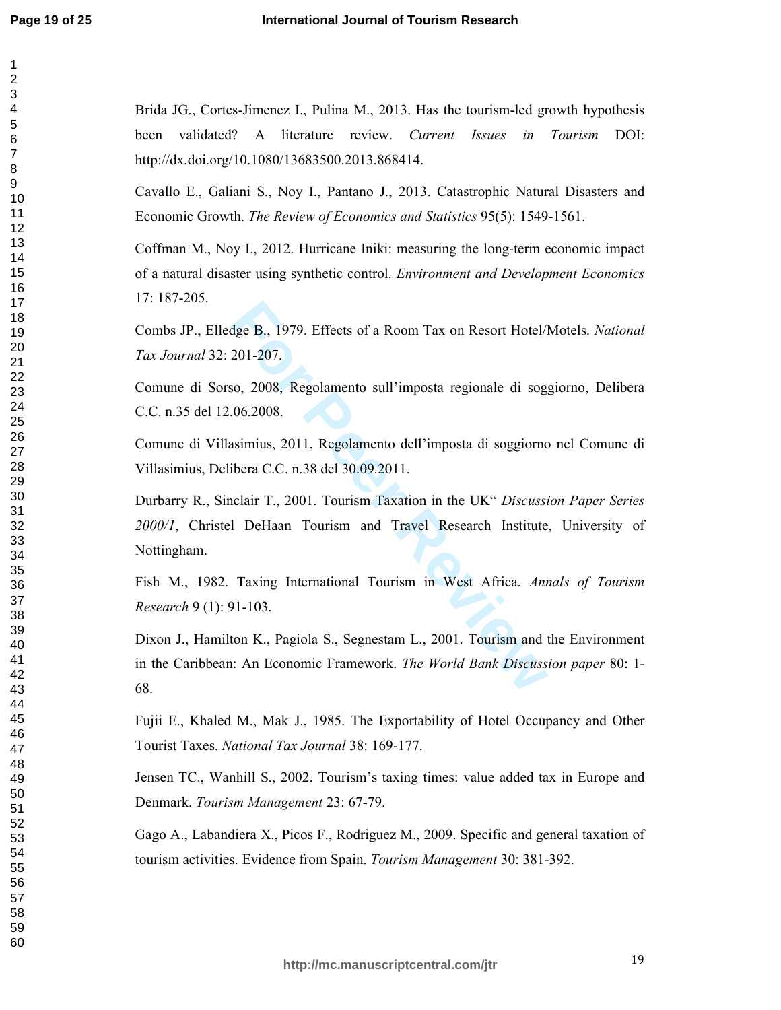$\mathbf{1}$  $\overline{2}$ 

Brida JG., Cortes-Jimenez I., Pulina M., 2013. Has the tourism-led growth hypothesis been validated? A literature review. *Current Issues in Tourism* DOI: http://dx.doi.org/10.1080/13683500.2013.868414.

Cavallo E., Galiani S., Noy I., Pantano J., 2013. Catastrophic Natural Disasters and Economic Growth. *The Review of Economics and Statistics* 95(5): 1549-1561.

Coffman M., Noy I., 2012. Hurricane Iniki: measuring the long-term economic impact of a natural disaster using synthetic control. *Environment and Development Economics* 17: 187-205.

Combs JP., Elledge B., 1979. Effects of a Room Tax on Resort Hotel/Motels. *National Tax Journal* 32: 201-207.

Comune di Sorso, 2008, Regolamento sull'imposta regionale di soggiorno, Delibera C.C. n.35 del 12.06.2008.

Comune di Villasimius, 2011, Regolamento dell'imposta di soggiorno nel Comune di Villasimius, Delibera C.C. n.38 del 30.09.2011.

dge B., 1979. Effects of a Room Tax on Resort Hotel/1<br>201-207.<br>50, 2008, Regolamento sull'imposta regionale di sog<sub>1</sub><br>06.2008.<br>asimius, 2011, Regolamento dell'imposta di soggiorno<br>ibera C.C. n.38 del 30.09.2011.<br>I DeHaan T Durbarry R., Sinclair T., 2001. Tourism Taxation in the UK" *Discussion Paper Series 2000/1*, Christel DeHaan Tourism and Travel Research Institute, University of Nottingham.

Fish M., 1982. Taxing International Tourism in West Africa. *Annals of Tourism Research* 9 (1): 91-103.

Dixon J., Hamilton K., Pagiola S., Segnestam L., 2001. Tourism and the Environment in the Caribbean: An Economic Framework. *The World Bank Discussion paper* 80: 1- 68.

Fujii E., Khaled M., Mak J., 1985. The Exportability of Hotel Occupancy and Other Tourist Taxes. *National Tax Journal* 38: 169-177.

Jensen TC., Wanhill S., 2002. Tourism's taxing times: value added tax in Europe and Denmark. *Tourism Management* 23: 67-79.

Gago A., Labandiera X., Picos F., Rodriguez M., 2009. Specific and general taxation of tourism activities. Evidence from Spain. *Tourism Management* 30: 381-392.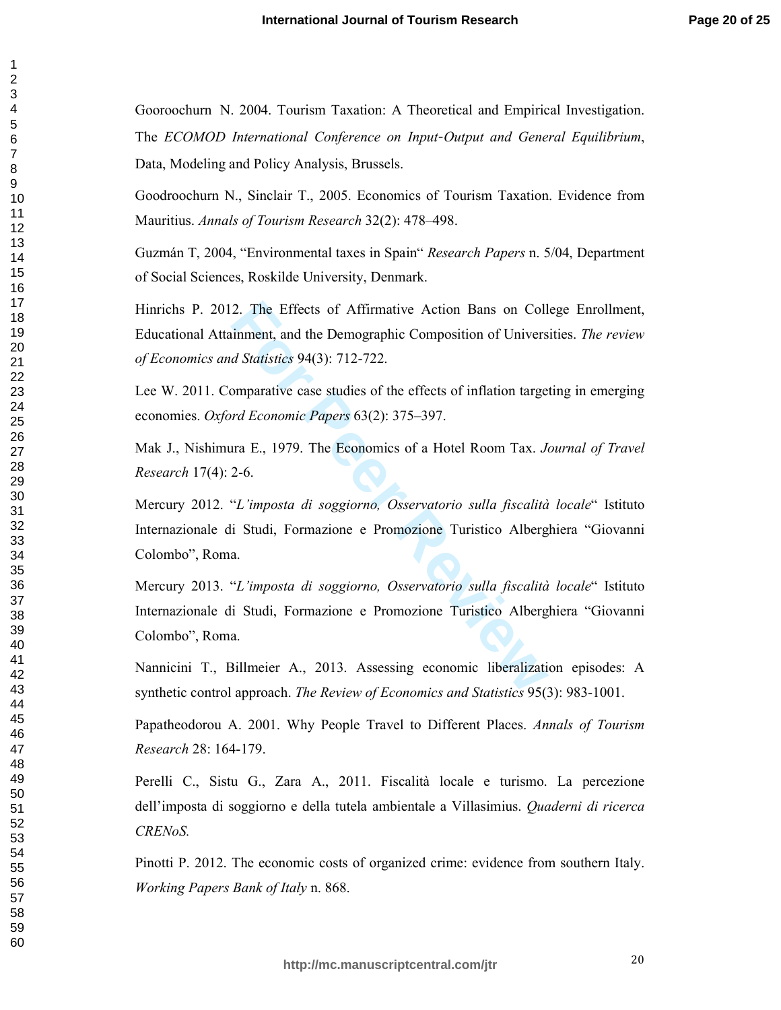Gooroochurn N. 2004. Tourism Taxation: A Theoretical and Empirical Investigation. The *ECOMOD International Conference on Input -Output and General Equilibrium*, Data, Modeling and Policy Analysis, Brussels.

Goodroochurn N., Sinclair T., 2005. Economics of Tourism Taxation. Evidence from Mauritius. *Annals of Tourism Research* 32(2): 478–498.

Guzmán T, 2004, "Environmental taxes in Spain" *Research Papers* n. 5/04, Department of Social Sciences, Roskilde University, Denmark.

Hinrichs P. 2012. The Effects of Affirmative Action Bans on College Enrollment, Educational Attainment, and the Demographic Composition of Universities. *The review of Economics and Statistics* 94(3): 712-722.

Lee W. 2011. Comparative case studies of the effects of inflation targeting in emerging economies. *Oxford Economic Papers* 63(2): 375–397.

Mak J., Nishimura E., 1979. The Economics of a Hotel Room Tax. *Journal of Travel Research* 17(4): 2-6.

Mercury 2012. "*L'imposta di soggiorno, Osservatorio sulla fiscalità locale*" Istituto Internazionale di Studi, Formazione e Promozione Turistico Alberghiera "Giovanni Colombo", Roma.

2. The Effects of Affirmative Action Bans on Coll<br>
inment, and the Demographic Composition of Univers<br> *Hatatstics* 94(3): 712-722.<br>
comparative case studies of the effects of inflation targe<br> *rad Economic Papers* 63(2): Mercury 2013. "*L'imposta di soggiorno, Osservatorio sulla fiscalità locale*" Istituto Internazionale di Studi, Formazione e Promozione Turistico Alberghiera "Giovanni Colombo", Roma.

Nannicini T., Billmeier A., 2013. Assessing economic liberalization episodes: A synthetic control approach. *The Review of Economics and Statistics* 95(3): 983-1001.

Papatheodorou A. 2001. Why People Travel to Different Places. *Annals of Tourism Research* 28: 164-179.

Perelli C., Sistu G., Zara A., 2011. Fiscalità locale e turismo. La percezione dell'imposta di soggiorno e della tutela ambientale a Villasimius. *Quaderni di ricerca CRENoS.*

Pinotti P. 2012. The economic costs of organized crime: evidence from southern Italy. *Working Papers Bank of Italy* n. 868.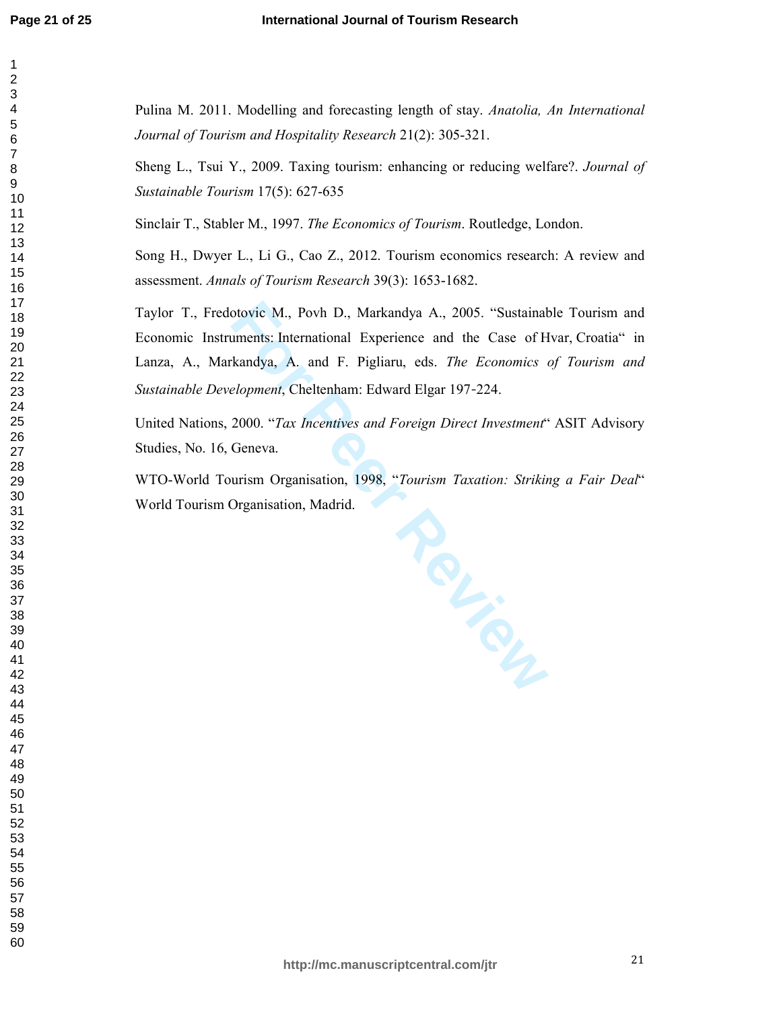Pulina M. 2011. Modelling and forecasting length of stay. *Anatolia, An International Journal of Tourism and Hospitality Research* 21(2): 305-321.

Sheng L., Tsui Y., 2009. Taxing tourism: enhancing or reducing welfare?. *Journal of Sustainable Tourism* 17(5): 627-635

Sinclair T., Stabler M., 1997. *The Economics of Tourism*. Routledge, London.

Song H., Dwyer L., Li G., Cao Z., 2012. Tourism economics research: A review and assessment. *Annals of Tourism Research* 39(3): 1653-1682.

Taylor T., Fredotovic M., Povh D., Markandya A., 2005. "Sustainable Tourism and Economic Instruments: International Experience and the Case of Hvar, Croatia" in Lanza, A., Markandya, A. and F. Pigliaru, eds. *The Economics of Tourism and Sustainable Development*, Cheltenham: Edward Elgar 197 -224.

United Nations, 2000. "*Tax Incentives and Foreign Direct Investment*" ASIT Advisory Studies, No. 16, Geneva.

WTO-World Tourism Organisation, 1998, "*Tourism Taxation: Striking a Fair Deal*" World Tourism Organisation, Madrid.

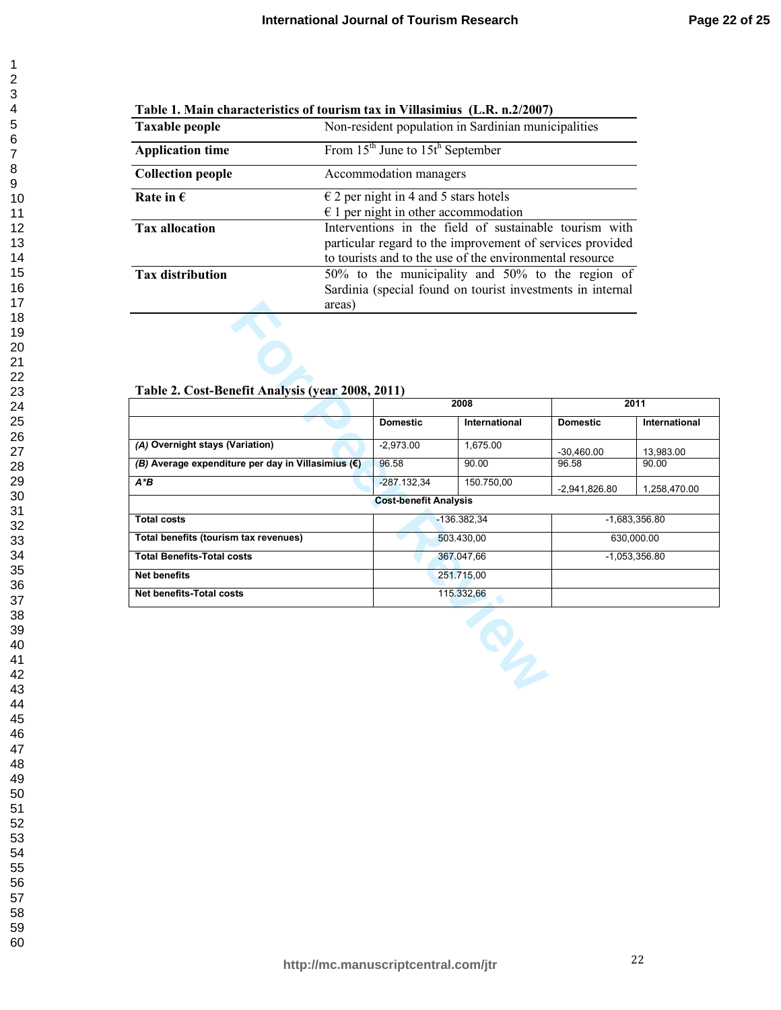| 1              |
|----------------|
| $\overline{ }$ |
|                |
|                |
|                |
|                |
|                |
|                |
|                |
|                |
|                |
|                |
|                |
|                |
|                |
|                |
|                |
|                |
|                |
|                |
|                |
|                |
|                |
|                |
|                |
|                |
|                |
|                |
|                |
|                |
|                |
|                |
|                |
|                |
|                |
|                |
|                |
|                |
|                |
|                |
|                |
| 40             |
| 41             |
| $\ddot{a}$     |
| 43<br>Š        |
| 44             |
| 45             |
| 46             |
| 47             |
| 48             |
| 49<br>50       |
|                |
|                |
| --<br>51<br>52 |
| 53             |
| 54             |
| 55             |
| 56             |
|                |
| -<br>57<br>58  |
|                |

 

| Table 1. Main characteristics of tourism tax in Villasimius (L.R. n.2/2007) |  |  |
|-----------------------------------------------------------------------------|--|--|
|-----------------------------------------------------------------------------|--|--|

| <b>Taxable people</b>    | Non-resident population in Sardinian municipalities                                                                                                                             |  |  |
|--------------------------|---------------------------------------------------------------------------------------------------------------------------------------------------------------------------------|--|--|
| <b>Application time</b>  | From $15th$ June to $15th$ September                                                                                                                                            |  |  |
| <b>Collection people</b> | Accommodation managers                                                                                                                                                          |  |  |
| Rate in $\epsilon$       | $\epsilon$ 2 per night in 4 and 5 stars hotels<br>$\epsilon$ 1 per night in other accommodation                                                                                 |  |  |
| <b>Tax allocation</b>    | Interventions in the field of sustainable tourism with<br>particular regard to the improvement of services provided<br>to tourists and to the use of the environmental resource |  |  |
| <b>Tax distribution</b>  | 50% to the municipality and 50% to the region of<br>Sardinia (special found on tourist investments in internal<br>areas)                                                        |  |  |

# **Table 2. Cost-Benefit Analysis (year 2008, 2011)**

| areas)                                                      |                                  |               |                 |               |  |
|-------------------------------------------------------------|----------------------------------|---------------|-----------------|---------------|--|
| Table 2. Cost-Benefit Analysis (year 2008, 2011)            |                                  |               |                 |               |  |
|                                                             |                                  | 2008          | 2011            |               |  |
|                                                             | <b>Domestic</b>                  | International | <b>Domestic</b> | International |  |
| (A) Overnight stays (Variation)                             | $-2,973.00$                      | 1,675.00      | $-30,460.00$    | 13,983.00     |  |
| (B) Average expenditure per day in Villasimius $(\epsilon)$ | 96.58                            | 90.00         | 96.58           | 90.00         |  |
| $A^*B$                                                      | $-287.132,34$                    | 150.750,00    | $-2,941,826.80$ | 1,258,470.00  |  |
|                                                             | <b>Cost-benefit Analysis</b>     |               |                 |               |  |
| <b>Total costs</b>                                          | $-1,683,356.80$<br>$-136.382.34$ |               |                 |               |  |
| Total benefits (tourism tax revenues)                       | 503.430,00                       |               | 630,000.00      |               |  |
| <b>Total Benefits-Total costs</b>                           | 367.047,66                       |               | $-1,053,356.80$ |               |  |
| <b>Net benefits</b>                                         |                                  | 251.715,00    |                 |               |  |
| <b>Net benefits-Total costs</b>                             | 115.332,66                       |               |                 |               |  |
|                                                             |                                  | <b>SILLER</b> |                 |               |  |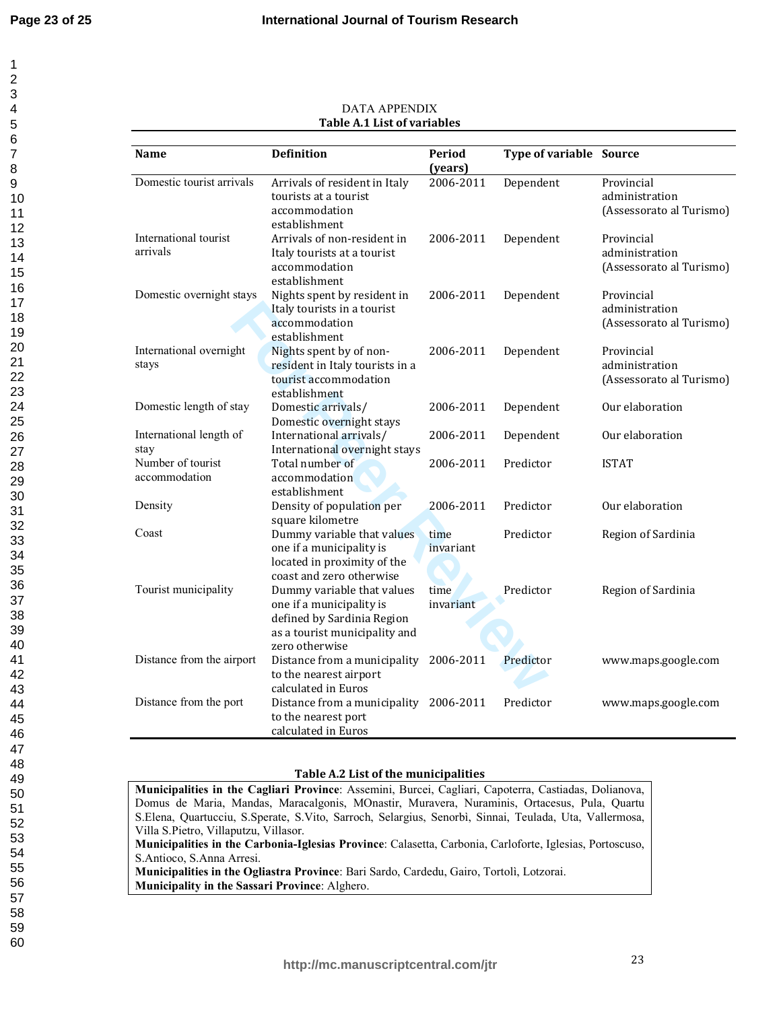| 1                            |  |
|------------------------------|--|
|                              |  |
|                              |  |
|                              |  |
|                              |  |
|                              |  |
|                              |  |
|                              |  |
|                              |  |
|                              |  |
|                              |  |
|                              |  |
|                              |  |
|                              |  |
|                              |  |
|                              |  |
|                              |  |
|                              |  |
|                              |  |
|                              |  |
|                              |  |
|                              |  |
|                              |  |
|                              |  |
|                              |  |
|                              |  |
|                              |  |
|                              |  |
|                              |  |
|                              |  |
|                              |  |
|                              |  |
|                              |  |
|                              |  |
|                              |  |
|                              |  |
|                              |  |
|                              |  |
|                              |  |
|                              |  |
|                              |  |
|                              |  |
|                              |  |
| 40                           |  |
| 41                           |  |
| 42                           |  |
| $\overline{4}$<br>Ś          |  |
| 44                           |  |
| 45                           |  |
| 46                           |  |
| 47                           |  |
|                              |  |
| 48                           |  |
| 49                           |  |
| 50                           |  |
| 51                           |  |
| 52                           |  |
| E<br>$\overline{\mathbf{3}}$ |  |
| 54                           |  |
| 55                           |  |
| 56                           |  |
|                              |  |
| 57                           |  |
| 58                           |  |
| 59                           |  |
| 60                           |  |

| Name                      | <b>Definition</b>                          | <b>Period</b> | <b>Type of variable Source</b> |                          |
|---------------------------|--------------------------------------------|---------------|--------------------------------|--------------------------|
|                           |                                            | (years)       |                                |                          |
| Domestic tourist arrivals | Arrivals of resident in Italy              | 2006-2011     | Dependent                      | Provincial               |
|                           | tourists at a tourist                      |               |                                | administration           |
|                           | accommodation                              |               |                                | (Assessorato al Turismo) |
|                           | establishment                              |               |                                |                          |
| International tourist     | Arrivals of non-resident in                | 2006-2011     | Dependent                      | Provincial               |
| arrivals                  | Italy tourists at a tourist                |               |                                | administration           |
|                           | accommodation                              |               |                                | (Assessorato al Turismo) |
|                           | establishment                              |               |                                |                          |
| Domestic overnight stays  | Nights spent by resident in                | 2006-2011     | Dependent                      | Provincial               |
|                           | Italy tourists in a tourist                |               |                                | administration           |
|                           | accommodation                              |               |                                | (Assessorato al Turismo) |
|                           | establishment                              |               |                                |                          |
| International overnight   | Nights spent by of non-                    | 2006-2011     | Dependent                      | Provincial               |
| stays                     | resident in Italy tourists in a            |               |                                | administration           |
|                           | tourist accommodation                      |               |                                | (Assessorato al Turismo) |
|                           | establishment                              |               |                                |                          |
| Domestic length of stay   | Domestic arrivals/                         | 2006-2011     | Dependent                      | Our elaboration          |
|                           | Domestic overnight stays                   |               |                                |                          |
| International length of   | International arrivals/                    | 2006-2011     | Dependent                      | Our elaboration          |
| stay                      | International overnight stays              |               |                                |                          |
| Number of tourist         | Total number of                            | 2006-2011     | Predictor                      | <b>ISTAT</b>             |
| accommodation             | accommodation                              |               |                                |                          |
|                           | establishment                              |               |                                |                          |
| Density                   | Density of population per                  | 2006-2011     | Predictor                      | Our elaboration          |
|                           | square kilometre                           |               |                                |                          |
| Coast                     | Dummy variable that values                 | time          | Predictor                      | Region of Sardinia       |
|                           | one if a municipality is                   | invariant     |                                |                          |
|                           | located in proximity of the                |               |                                |                          |
|                           | coast and zero otherwise                   |               |                                |                          |
| Tourist municipality      | Dummy variable that values                 | time          | Predictor                      | Region of Sardinia       |
|                           | one if a municipality is                   | invariant     |                                |                          |
|                           | defined by Sardinia Region                 |               |                                |                          |
|                           | as a tourist municipality and              |               |                                |                          |
|                           | zero otherwise                             |               |                                |                          |
| Distance from the airport | Distance from a municipality               | 2006-2011     | Predictor                      | www.maps.google.com      |
|                           | to the nearest airport                     |               |                                |                          |
|                           | calculated in Euros                        |               |                                |                          |
| Distance from the port    | Distance from a municipality 2006-2011     |               | Predictor                      | www.maps.google.com      |
|                           | to the nearest port<br>calculated in Euros |               |                                |                          |
|                           |                                            |               |                                |                          |

## DATA APPENDIX **Table A.1 List of variables**

# **Table A.2 List of the municipalities**

**Municipalities in the Cagliari Province**: Assemini, Burcei, Cagliari, Capoterra, Castiadas, Dolianova, Domus de Maria, Mandas, Maracalgonis, MOnastir, Muravera, Nuraminis, Ortacesus, Pula, Quartu S.Elena, Quartucciu, S.Sperate, S.Vito, Sarroch, Selargius, Senorbì, Sinnai, Teulada, Uta, Vallermosa, Villa S.Pietro, Villaputzu, Villasor. **Municipalities in the Carbonia-Iglesias Province**: Calasetta, Carbonia, Carloforte, Iglesias, Portoscuso, S.Antioco, S.Anna Arresi. **Municipalities in the Ogliastra Province**: Bari Sardo, Cardedu, Gairo, Tortolì, Lotzorai. **Municipality in the Sassari Province**: Alghero.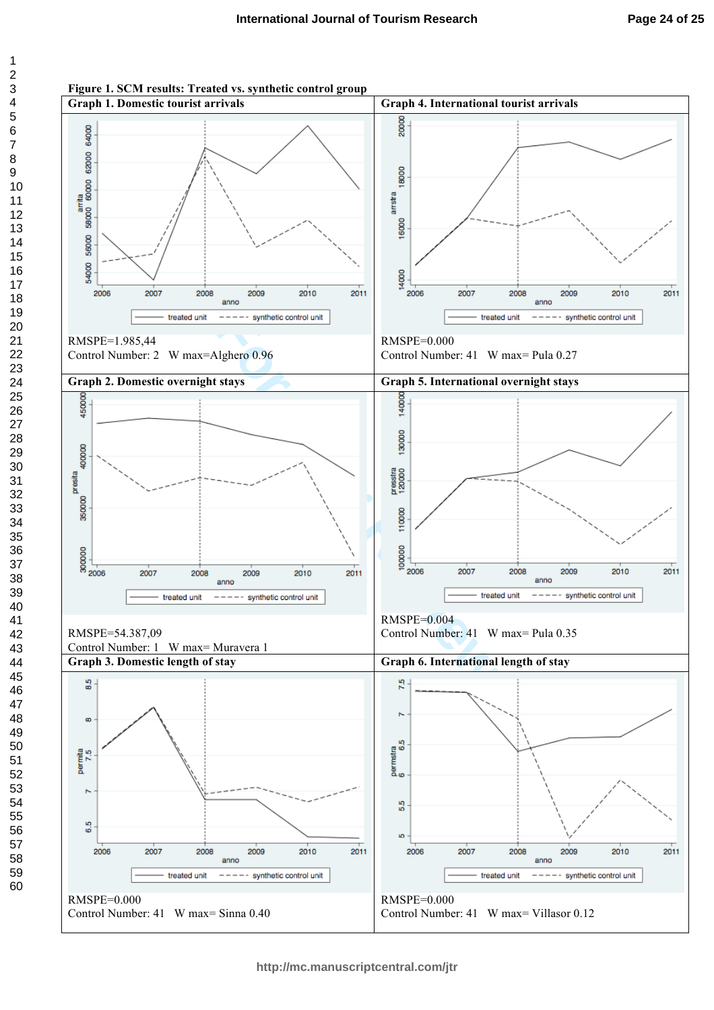

**Figure 1. SCM results: Treated vs. synthetic control group**